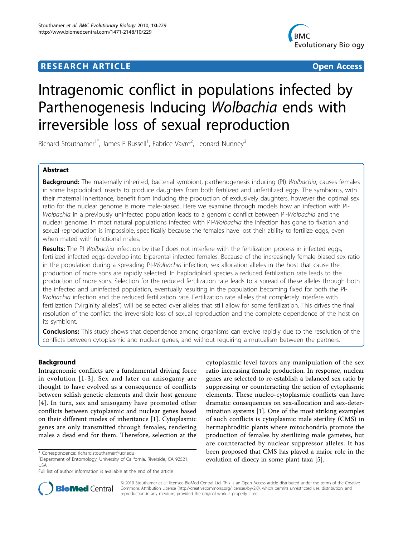## **RESEARCH ARTICLE Example 2018 CONSUMING ACCESS**



# Intragenomic conflict in populations infected by Parthenogenesis Inducing Wolbachia ends with irreversible loss of sexual reproduction

Richard Stouthamer<sup>1\*</sup>, James E Russell<sup>1</sup>, Fabrice Vavre<sup>2</sup>, Leonard Nunney<sup>3</sup>

## Abstract

Background: The maternally inherited, bacterial symbiont, parthenogenesis inducing (PI) Wolbachia, causes females in some haplodiploid insects to produce daughters from both fertilized and unfertilized eggs. The symbionts, with their maternal inheritance, benefit from inducing the production of exclusively daughters, however the optimal sex ratio for the nuclear genome is more male-biased. Here we examine through models how an infection with PI-Wolbachia in a previously uninfected population leads to a genomic conflict between PI-Wolbachia and the nuclear genome. In most natural populations infected with PI-Wolbachia the infection has gone to fixation and sexual reproduction is impossible, specifically because the females have lost their ability to fertilize eggs, even when mated with functional males.

Results: The PI Wolbachia infection by itself does not interfere with the fertilization process in infected eggs, fertilized infected eggs develop into biparental infected females. Because of the increasingly female-biased sex ratio in the population during a spreading PI-Wolbachia infection, sex allocation alleles in the host that cause the production of more sons are rapidly selected. In haplodiploid species a reduced fertilization rate leads to the production of more sons. Selection for the reduced fertilization rate leads to a spread of these alleles through both the infected and uninfected population, eventually resulting in the population becoming fixed for both the PI-Wolbachia infection and the reduced fertilization rate. Fertilization rate alleles that completely interfere with fertilization ("virginity alleles") will be selected over alleles that still allow for some fertilization. This drives the final resolution of the conflict: the irreversible loss of sexual reproduction and the complete dependence of the host on its symbiont.

**Conclusions:** This study shows that dependence among organisms can evolve rapidly due to the resolution of the conflicts between cytoplasmic and nuclear genes, and without requiring a mutualism between the partners.

## Background

Intragenomic conflicts are a fundamental driving force in evolution [[1](#page-10-0)-[3\]](#page-10-0). Sex and later on anisogamy are thought to have evolved as a consequence of conflicts between selfish genetic elements and their host genome [[4](#page-10-0)]. In turn, sex and anisogamy have promoted other conflicts between cytoplasmic and nuclear genes based on their different modes of inheritance [[1\]](#page-10-0). Cytoplasmic genes are only transmitted through females, rendering males a dead end for them. Therefore, selection at the

cytoplasmic level favors any manipulation of the sex ratio increasing female production. In response, nuclear genes are selected to re-establish a balanced sex ratio by suppressing or counteracting the action of cytoplasmic elements. These nucleo-cytoplasmic conflicts can have dramatic consequences on sex-allocation and sex-determination systems [\[1](#page-10-0)]. One of the most striking examples of such conflicts is cytoplasmic male sterility (CMS) in hermaphroditic plants where mitochondria promote the production of females by sterilizing male gametes, but are counteracted by nuclear suppressor alleles. It has been proposed that CMS has played a major role in the evolution of dioecy in some plant taxa [\[5\]](#page-10-0).



© 2010 Stouthamer et al; licensee BioMed Central Ltd. This is an Open Access article distributed under the terms of the Creative Commons Attribution License [\(http://creativecommons.org/licenses/by/2.0](http://creativecommons.org/licenses/by/2.0)), which permits unrestricted use, distribution, and reproduction in any medium, provided the original work is properly cited.

<sup>\*</sup> Correspondence: [richard.stouthamer@ucr.edu](mailto:richard.stouthamer@ucr.edu)

<sup>&</sup>lt;sup>1</sup>Department of Entomology, University of California, Riverside, CA 92521, USA

Full list of author information is available at the end of the article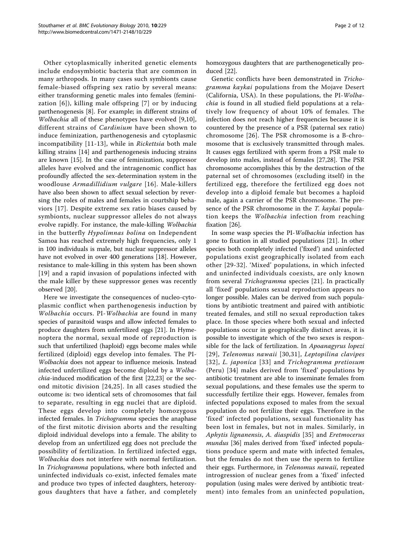Other cytoplasmically inherited genetic elements include endosymbiotic bacteria that are common in many arthropods. In many cases such symbionts cause female-biased offspring sex ratio by several means: either transforming genetic males into females (feminization [[6](#page-10-0)]), killing male offspring [[7\]](#page-10-0) or by inducing parthenogenesis [\[8](#page-10-0)]. For example; in different strains of Wolbachia all of these phenotypes have evolved [[9,10](#page-10-0)], different strains of Cardinium have been shown to induce feminization, parthenogenesis and cytoplasmic incompatibility [[11](#page-10-0)-[13\]](#page-10-0), while in Rickettsia both male killing strains [\[14](#page-10-0)] and parthenogenesis inducing strains are known [[15\]](#page-10-0). In the case of feminization, suppressor alleles have evolved and the intragenomic conflict has profoundly affected the sex-determination system in the woodlouse Armadillidium vulgare [[16\]](#page-10-0). Male-killers have also been shown to affect sexual selection by reversing the roles of males and females in courtship behaviors [[17\]](#page-10-0). Despite extreme sex ratio biases caused by symbionts, nuclear suppressor alleles do not always evolve rapidly. For instance, the male-killing Wolbachia in the butterfly Hypolimnas bolina on Independent Samoa has reached extremely high frequencies, only 1 in 100 individuals is male, but nuclear suppressor alleles have not evolved in over 400 generations [\[18](#page-10-0)]. However, resistance to male-killing in this system has been shown [[19](#page-10-0)] and a rapid invasion of populations infected with the male killer by these suppressor genes was recently observed [\[20\]](#page-10-0).

Here we investigate the consequences of nucleo-cytoplasmic conflict when parthenogenesis induction by Wolbachia occurs. PI-Wolbachia are found in many species of parasitoid wasps and allow infected females to produce daughters from unfertilized eggs [\[21](#page-10-0)]. In Hymenoptera the normal, sexual mode of reproduction is such that unfertilized (haploid) eggs become males while fertilized (diploid) eggs develop into females. The PI-Wolbachia does not appear to influence meiosis. Instead infected unfertilized eggs become diploid by a Wolbachia-induced modification of the first [[22,23\]](#page-10-0) or the second mitotic division [[24,25\]](#page-10-0). In all cases studied the outcome is: two identical sets of chromosomes that fail to separate, resulting in egg nuclei that are diploid. These eggs develop into completely homozygous infected females. In Trichogramma species the anaphase of the first mitotic division aborts and the resulting diploid individual develops into a female. The ability to develop from an unfertilized egg does not preclude the possibility of fertilization. In fertilized infected eggs, Wolbachia does not interfere with normal fertilization. In Trichogramma populations, where both infected and uninfected individuals co-exist, infected females mate and produce two types of infected daughters, heterozygous daughters that have a father, and completely homozygous daughters that are parthenogenetically produced [[22](#page-10-0)].

Genetic conflicts have been demonstrated in Trichogramma kaykai populations from the Mojave Desert (California, USA). In these populations, the PI-Wolbachia is found in all studied field populations at a relatively low frequency of about 10% of females. The infection does not reach higher frequencies because it is countered by the presence of a PSR (paternal sex ratio) chromosome [[26\]](#page-10-0). The PSR chromosome is a B-chromosome that is exclusively transmitted through males. It causes eggs fertilized with sperm from a PSR male to develop into males, instead of females [\[27,28](#page-10-0)]. The PSR chromosome accomplishes this by the destruction of the paternal set of chromosomes (excluding itself) in the fertilized egg, therefore the fertilized egg does not develop into a diploid female but becomes a haploid male, again a carrier of the PSR chromosome. The presence of the PSR chromosome in the T. kaykai population keeps the Wolbachia infection from reaching fixation [[26\]](#page-10-0).

In some wasp species the PI-Wolbachia infection has gone to fixation in all studied populations [\[21](#page-10-0)]. In other species both completely infected ('fixed') and uninfected populations exist geographically isolated from each other [[29-32\]](#page-10-0). 'Mixed' populations, in which infected and uninfected individuals coexists, are only known from several Trichogramma species [\[21\]](#page-10-0). In practically all 'fixed' populations sexual reproduction appears no longer possible. Males can be derived from such populations by antibiotic treatment and paired with antibiotic treated females, and still no sexual reproduction takes place. In those species where both sexual and infected populations occur in geographically distinct areas, it is possible to investigate which of the two sexes is responsible for the lack of fertilization. In Apoanagyrus lopezi [[29\]](#page-10-0), Telenomus nawaii [[30](#page-10-0),[31\]](#page-10-0), Leptopilina clavipes [[32](#page-10-0)], L. japonica [[33\]](#page-10-0) and Trichogramma pretiosum (Peru) [[34](#page-10-0)] males derived from 'fixed' populations by antibiotic treatment are able to inseminate females from sexual populations, and these females use the sperm to successfully fertilize their eggs. However, females from infected populations exposed to males from the sexual population do not fertilize their eggs. Therefore in the 'fixed' infected populations, sexual functionality has been lost in females, but not in males. Similarly, in Aphytis lignanensis, A. diaspidis [[35\]](#page-10-0) and Eretmocerus mundus [\[36](#page-10-0)] males derived from 'fixed' infected populations produce sperm and mate with infected females, but the females do not then use the sperm to fertilize their eggs. Furthermore, in Telenomus nawaii, repeated introgression of nuclear genes from a 'fixed' infected population (using males were derived by antibiotic treatment) into females from an uninfected population,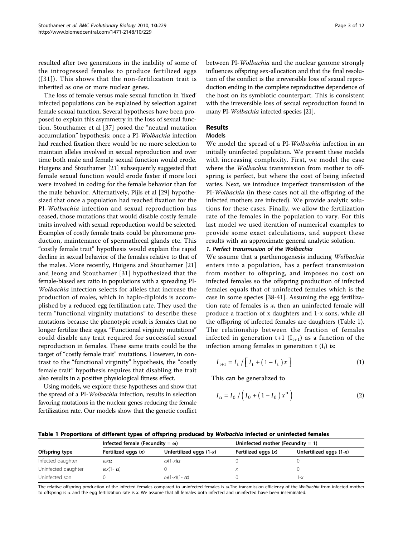<span id="page-2-0"></span>resulted after two generations in the inability of some of the introgressed females to produce fertilized eggs ([[31\]](#page-10-0)). This shows that the non-fertilization trait is inherited as one or more nuclear genes.

The loss of female versus male sexual function in 'fixed' infected populations can be explained by selection against female sexual function. Several hypotheses have been proposed to explain this asymmetry in the loss of sexual function. Stouthamer et al [\[37\]](#page-10-0) posed the "neutral mutation accumulation" hypothesis: once a PI-Wolbachia infection had reached fixation there would be no more selection to maintain alleles involved in sexual reproduction and over time both male and female sexual function would erode. Huigens and Stouthamer [\[21\]](#page-10-0) subsequently suggested that female sexual function would erode faster if more loci were involved in coding for the female behavior than for the male behavior. Alternatively, Pijls et al [[29\]](#page-10-0) hypothesized that once a population had reached fixation for the PI-Wolbachia infection and sexual reproduction has ceased, those mutations that would disable costly female traits involved with sexual reproduction would be selected. Examples of costly female traits could be pheromone production, maintenance of spermathecal glands etc. This "costly female trait" hypothesis would explain the rapid decline in sexual behavior of the females relative to that of the males. More recently, Huigens and Stouthamer [\[21](#page-10-0)] and Jeong and Stouthamer [[31\]](#page-10-0) hypothesized that the female-biased sex ratio in populations with a spreading PI-Wolbachia infection selects for alleles that increase the production of males, which in haplo-diploids is accomplished by a reduced egg fertilization rate. They used the term "functional virginity mutations" to describe these mutations because the phenotypic result is females that no longer fertilize their eggs. "Functional virginity mutations" could disable any trait required for successful sexual reproduction in females. These same traits could be the target of "costly female trait" mutations. However, in contrast to the "functional virginity" hypothesis, the "costly female trait" hypothesis requires that disabling the trait also results in a positive physiological fitness effect.

Using models, we explore these hypotheses and show that the spread of a PI-Wolbachia infection, results in selection favoring mutations in the nuclear genes reducing the female fertilization rate. Our models show that the genetic conflict between PI-Wolbachia and the nuclear genome strongly influences offspring sex-allocation and that the final resolution of the conflict is the irreversible loss of sexual reproduction ending in the complete reproductive dependence of the host on its symbiotic counterpart. This is consistent with the irreversible loss of sexual reproduction found in many PI-Wolbachia infected species [[21\]](#page-10-0).

## Results

## Models

We model the spread of a PI-Wolbachia infection in an initially uninfected population. We present these models with increasing complexity. First, we model the case where the *Wolbachia* transmission from mother to offspring is perfect, but where the cost of being infected varies. Next, we introduce imperfect transmission of the PI-Wolbachia (in these cases not all the offspring of the infected mothers are infected). We provide analytic solutions for these cases. Finally, we allow the fertilization rate of the females in the population to vary. For this last model we used iteration of numerical examples to provide some exact calculations, and support these results with an approximate general analytic solution.

### 1. Perfect transmission of the Wolbachia

We assume that a parthenogenesis inducing *Wolbachia* enters into a population, has a perfect transmission from mother to offspring, and imposes no cost on infected females so the offspring production of infected females equals that of uninfected females which is the case in some species [[38-41\]](#page-10-0). Assuming the egg fertilization rate of females is  $x$ , then an uninfected female will produce a fraction of x daughters and 1-x sons, while all the offspring of infected females are daughters (Table 1). The relationship between the fraction of females infected in generation t+1  $(I_{t+1})$  as a function of the infection among females in generation  $t(I_t)$  is:

$$
I_{t+1} = I_t / [I_t + (1 - I_t) x ]
$$
 (1)

This can be generalized to

$$
I_{n} = I_{0} / (I_{0} + (1 - I_{0}) x^{n})
$$
 (2)

|  |  |  |  |  |  | Table 1 Proportions of different types of offspring produced by Wolbachia infected or uninfected females |
|--|--|--|--|--|--|----------------------------------------------------------------------------------------------------------|
|--|--|--|--|--|--|----------------------------------------------------------------------------------------------------------|

|                     | Infected female (Fecundity = $\omega$ ) |                           | Uninfected mother (Fecundity $= 1$ ) |                           |  |
|---------------------|-----------------------------------------|---------------------------|--------------------------------------|---------------------------|--|
| Offspring type      | Fertilized eggs $(x)$                   | Unfertilized eggs $(1-x)$ | Fertilized eggs $(x)$                | Unfertilized eggs $(1-x)$ |  |
| Infected daughter   | $\omega \times \alpha$                  | $\omega(1-x)\alpha$       |                                      |                           |  |
| Uninfected daughter | $\omega x(1-\alpha)$                    |                           |                                      |                           |  |
| Uninfected son      |                                         | $\omega(1-x)(1-\alpha)$   |                                      | . – X                     |  |

The relative offspring production of the infected females compared to uninfected females is  $\omega$ .The transmission efficiency of the Wolbachia from infected mother to offspring is  $\alpha$  and the egg fertilization rate is x. We assume that all females both infected and uninfected have been inseminated.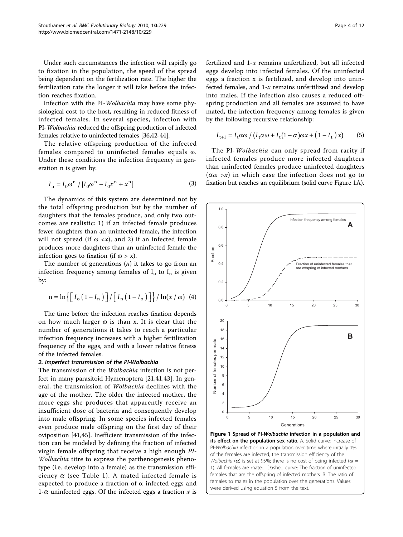<span id="page-3-0"></span>Under such circumstances the infection will rapidly go to fixation in the population, the speed of the spread being dependent on the fertilization rate. The higher the fertilization rate the longer it will take before the infection reaches fixation.

Infection with the PI-Wolbachia may have some physiological cost to the host, resulting in reduced fitness of infected females. In several species, infection with PI-Wolbachia reduced the offspring production of infected females relative to uninfected females [[36](#page-10-0)[,42-44\]](#page-11-0).

The relative offspring production of the infected females compared to uninfected females equals ω. Under these conditions the infection frequency in generation n is given by:

$$
I_{n} = I_{0} \omega^{n} / [I_{0} \omega^{n} - I_{0} x^{n} + x^{n}]
$$
 (3)

The dynamics of this system are determined not by the total offspring production but by the number of daughters that the females produce, and only two outcomes are realistic: 1) if an infected female produces fewer daughters than an uninfected female, the infection will not spread (if  $\omega \ll x$ ), and 2) if an infected female produces more daughters than an uninfected female the infection goes to fixation (if  $\omega > x$ ).

The number of generations  $(n)$  it takes to go from an infection frequency among females of  $I_0$  to  $I_n$  is given by:

$$
n = \ln \{ [ I_0 (1 - I_n) ] / [ I_n (1 - I_0) ] \} / \ln(x / \omega) \quad (4)
$$

The time before the infection reaches fixation depends on how much larger ω is than x. It is clear that the number of generations it takes to reach a particular infection frequency increases with a higher fertilization frequency of the eggs, and with a lower relative fitness of the infected females.

## 2. Imperfect transmission of the PI-Wolbachia

The transmission of the Wolbachia infection is not perfect in many parasitoid Hymenoptera [[21,41,](#page-10-0)[43\]](#page-11-0). In general, the transmission of Wolbachia declines with the age of the mother. The older the infected mother, the more eggs she produces that apparently receive an insufficient dose of bacteria and consequently develop into male offspring. In some species infected females even produce male offspring on the first day of their oviposition [[41](#page-10-0),[45\]](#page-11-0). Inefficient transmission of the infection can be modeled by defining the fraction of infected virgin female offspring that receive a high enough PI-Wolbachia titre to express the parthenogenesis phenotype (i.e. develop into a female) as the transmission efficiency  $\alpha$  (see Table [1](#page-2-0)). A mated infected female is expected to produce a fraction of  $\alpha$  infected eggs and 1- $\alpha$  uninfected eggs. Of the infected eggs a fraction x is

fertilized and  $1-x$  remains unfertilized, but all infected eggs develop into infected females. Of the uninfected eggs a fraction x is fertilized, and develop into uninfected females, and  $1-x$  remains unfertilized and develop into males. If the infection also causes a reduced offspring production and all females are assumed to have mated, the infection frequency among females is given by the following recursive relationship:

$$
I_{t+1} = I_t \alpha \omega / (I_t \alpha \omega + I_t (1 - \alpha) \omega x + (1 - I_t) x)
$$
 (5)

The PI-Wolbachia can only spread from rarity if infected females produce more infected daughters than uninfected females produce uninfected daughters  $(\alpha \omega > x)$  in which case the infection does not go to fixation but reaches an equilibrium (solid curve Figure 1A).



Figure 1 Spread of PI-Wolbachia infection in a population and its effect on the population sex ratio. A. Solid curve: Increase of PI-Wolbachia infection in a population over time where initially 1% of the females are infected, the transmission efficiency of the Wolbachia ( $\alpha$ ) is set at 95%; there is no cost of being infected ( $\omega$  = 1). All females are mated. Dashed curve: The fraction of uninfected females that are the offspring of infected mothers. B. The ratio of females to males in the population over the generations. Values were derived using equation 5 from the text.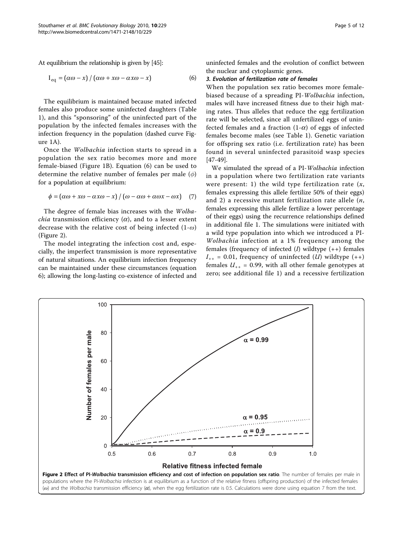At equilibrium the relationship is given by [[45](#page-11-0)]:

$$
I_{eq} = (\alpha \omega - x) / (\alpha \omega + x \omega - \alpha x \omega - x)
$$
 (6)

The equilibrium is maintained because mated infected females also produce some uninfected daughters (Table [1\)](#page-2-0), and this "sponsoring" of the uninfected part of the population by the infected females increases with the infection frequency in the population (dashed curve Figure [1A](#page-3-0)).

Once the Wolbachia infection starts to spread in a population the sex ratio becomes more and more female-biased (Figure [1B](#page-3-0)). Equation (6) can be used to determine the relative number of females per male  $(\phi)$ for a population at equilibrium:

$$
\phi = (\alpha \omega + x\omega - \alpha x\omega - x) / (\omega - \alpha \omega + \alpha \omega x - \omega x) \quad (7)
$$

The degree of female bias increases with the *Wolbachia* transmission efficiency  $(\alpha)$ , and to a lesser extent decrease with the relative cost of being infected  $(1-\omega)$ (Figure 2).

The model integrating the infection cost and, especially, the imperfect transmission is more representative of natural situations. An equilibrium infection frequency can be maintained under these circumstances (equation 6); allowing the long-lasting co-existence of infected and

uninfected females and the evolution of conflict between the nuclear and cytoplasmic genes.

## 3. Evolution of fertilization rate of females

When the population sex ratio becomes more femalebiased because of a spreading PI-Wolbachia infection, males will have increased fitness due to their high mating rates. Thus alleles that reduce the egg fertilization rate will be selected, since all unfertilized eggs of uninfected females and a fraction  $(1-\alpha)$  of eggs of infected females become males (see Table [1](#page-2-0)). Genetic variation for offspring sex ratio (i.e. fertilization rate) has been found in several uninfected parasitoid wasp species [[47-49\]](#page-11-0).

We simulated the spread of a PI-Wolbachia infection in a population where two fertilization rate variants were present: 1) the wild type fertilization rate  $(x,$ females expressing this allele fertilize 50% of their eggs) and 2) a recessive mutant fertilization rate allele  $(n,$ females expressing this allele fertilize a lower percentage of their eggs) using the recurrence relationships defined in additional file [1.](#page-9-0) The simulations were initiated with a wild type population into which we introduced a PI-Wolbachia infection at a 1% frequency among the females (frequency of infected  $(I)$  wildtype  $(++)$  females  $I_{++}$  = 0.01, frequency of uninfected (*U*) wildtype (++) females  $U_{++}$  = 0.99, with all other female genotypes at zero; see additional file [1\)](#page-9-0) and a recessive fertilization

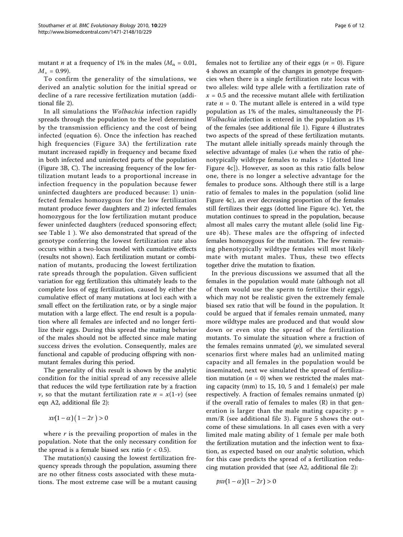mutant *n* at a frequency of 1% in the males ( $M_n = 0.01$ ,  $M_{+} = 0.99$ ).

To confirm the generality of the simulations, we derived an analytic solution for the initial spread or decline of a rare recessive fertilization mutation (additional file [2](#page-9-0)).

In all simulations the Wolbachia infection rapidly spreads through the population to the level determined by the transmission efficiency and the cost of being infected (equation 6). Once the infection has reached high frequencies (Figure [3A\)](#page-6-0) the fertilization rate mutant increased rapidly in frequency and became fixed in both infected and uninfected parts of the population (Figure [3B, C](#page-6-0)). The increasing frequency of the low fertilization mutant leads to a proportional increase in infection frequency in the population because fewer uninfected daughters are produced because: 1) uninfected females homozygous for the low fertilization mutant produce fewer daughters and 2) infected females homozygous for the low fertilization mutant produce fewer uninfected daughters (reduced sponsoring effect; see Table [1](#page-2-0) ). We also demonstrated that spread of the genotype conferring the lowest fertilization rate also occurs within a two-locus model with cumulative effects (results not shown). Each fertilization mutant or combination of mutants, producing the lowest fertilization rate spreads through the population. Given sufficient variation for egg fertilization this ultimately leads to the complete loss of egg fertilization, caused by either the cumulative effect of many mutations at loci each with a small effect on the fertilization rate, or by a single major mutation with a large effect. The end result is a population where all females are infected and no longer fertilize their eggs. During this spread the mating behavior of the males should not be affected since male mating success drives the evolution. Consequently, males are functional and capable of producing offspring with nonmutant females during this period.

The generality of this result is shown by the analytic condition for the initial spread of any recessive allele that reduces the wild type fertilization rate by a fraction  $\nu$ , so that the mutant fertilization rate  $n = x(1-\nu)$  (see eqn A2, additional file [2](#page-9-0)):

$$
xv(1-\alpha)(1-2r) > 0
$$

where  $r$  is the prevailing proportion of males in the population. Note that the only necessary condition for the spread is a female biased sex ratio  $(r < 0.5)$ .

The mutation(s) causing the lowest fertilization frequency spreads through the population, assuming there are no other fitness costs associated with these mutations. The most extreme case will be a mutant causing

females not to fertilize any of their eggs  $(n = 0)$ . Figure [4](#page-6-0) shows an example of the changes in genotype frequencies when there is a single fertilization rate locus with two alleles: wild type allele with a fertilization rate of  $x = 0.5$  and the recessive mutant allele with fertilization rate  $n = 0$ . The mutant allele is entered in a wild type population as 1% of the males, simultaneously the PI-Wolbachia infection is entered in the population as 1% of the females (see additional file [1\)](#page-9-0). Figure [4](#page-6-0) illustrates two aspects of the spread of these fertilization mutants. The mutant allele initially spreads mainly through the selective advantage of males (i.e when the ratio of phenotypically wildtype females to males > 1[dotted line Figure [4c](#page-6-0)]). However, as soon as this ratio falls below one, there is no longer a selective advantage for the females to produce sons. Although there still is a large ratio of females to males in the population (solid line Figure [4c](#page-6-0)), an ever decreasing proportion of the females still fertilizes their eggs (dotted line Figure [4c](#page-6-0)). Yet, the mutation continues to spread in the population, because almost all males carry the mutant allele (solid line Figure [4b](#page-6-0)). These males are the offspring of infected females homozygous for the mutation. The few remaining phenotypically wildtype females will most likely mate with mutant males. Thus, these two effects together drive the mutation to fixation.

In the previous discussions we assumed that all the females in the population would mate (although not all of them would use the sperm to fertilize their eggs), which may not be realistic given the extremely female biased sex ratio that will be found in the population. It could be argued that if females remain unmated, many more wildtype males are produced and that would slow down or even stop the spread of the fertilization mutants. To simulate the situation where a fraction of the females remains unmated  $(p)$ , we simulated several scenarios first where males had an unlimited mating capacity and all females in the population would be inseminated, next we simulated the spread of fertilization mutation ( $n = 0$ ) when we restricted the males mating capacity (mm) to 15, 10, 5 and 1 female(s) per male respectively. A fraction of females remains unmated (p) if the overall ratio of females to males  $(R)$  in that generation is larger than the male mating capacity:  $p =$ mm/R (see additional file [3\)](#page-9-0). Figure [5](#page-7-0) shows the outcome of these simulations. In all cases even with a very limited male mating ability of 1 female per male both the fertilization mutation and the infection went to fixation, as expected based on our analytic solution, which for this case predicts the spread of a fertilization reducing mutation provided that (see A2, additional file [2\)](#page-9-0):

$$
pxv(1-\alpha)(1-2r) > 0
$$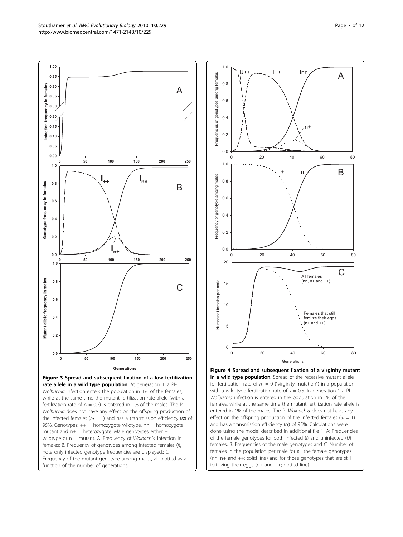<span id="page-6-0"></span>





Figure 4 Spread and subsequent fixation of a virginity mutant in a wild type population. Spread of the recessive mutant allele for fertilization rate of  $m = 0$  ("virginity mutation") in a population with a wild type fertilization rate of  $x = 0.5$ . In generation 1 a PI-Wolbachia infection is entered in the population in 1% of the females, while at the same time the mutant fertilization rate allele is entered in 1% of the males. The PI-Wolbachia does not have any effect on the offspring production of the infected females ( $\omega = 1$ ) and has a transmission efficiency  $(\alpha)$  of 95%. Calculations were done using the model described in additional file [1](#page-9-0). A: Frequencies of the female genotypes for both infected  $(1)$  and uninfected  $(1)$ females, B: Frequencies of the male genotypes and C: Number of females in the population per male for all the female genotypes (nn, n+ and ++; solid line) and for those genotypes that are still fertilizing their eggs (n+ and ++; dotted line)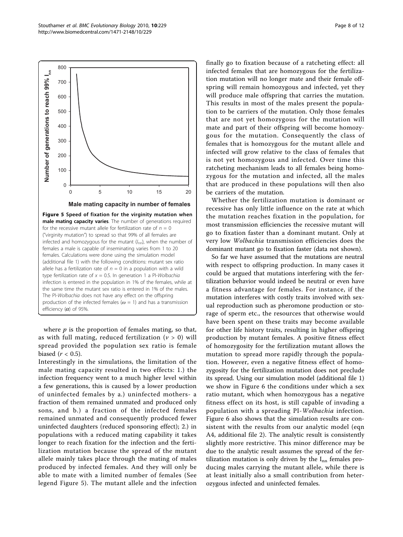<span id="page-7-0"></span>

where  $p$  is the proportion of females mating, so that, as with full mating, reduced fertilization ( $\nu > 0$ ) will spread provided the population sex ratio is female biased  $(r < 0.5)$ .

Interestingly in the simulations, the limitation of the male mating capacity resulted in two effects: 1.) the infection frequency went to a much higher level within a few generations, this is caused by a lower production of uninfected females by a.) uninfected mothers- a fraction of them remained unmated and produced only sons, and b.) a fraction of the infected females remained unmated and consequently produced fewer uninfected daughters (reduced sponsoring effect); 2.) in populations with a reduced mating capability it takes longer to reach fixation for the infection and the fertilization mutation because the spread of the mutant allele mainly takes place through the mating of males produced by infected females. And they will only be able to mate with a limited number of females (See legend Figure 5). The mutant allele and the infection finally go to fixation because of a ratcheting effect: all infected females that are homozygous for the fertilization mutation will no longer mate and their female offspring will remain homozygous and infected, yet they will produce male offspring that carries the mutation. This results in most of the males present the population to be carriers of the mutation. Only those females that are not yet homozygous for the mutation will mate and part of their offspring will become homozygous for the mutation. Consequently the class of females that is homozygous for the mutant allele and infected will grow relative to the class of females that is not yet homozygous and infected. Over time this ratcheting mechanism leads to all females being homozygous for the mutation and infected, all the males that are produced in these populations will then also be carriers of the mutation.

Whether the fertilization mutation is dominant or recessive has only little influence on the rate at which the mutation reaches fixation in the population, for most transmission efficiencies the recessive mutant will go to fixation faster than a dominant mutant. Only at very low Wolbachia transmission efficiencies does the dominant mutant go to fixation faster (data not shown).

So far we have assumed that the mutations are neutral with respect to offspring production. In many cases it could be argued that mutations interfering with the fertilization behavior would indeed be neutral or even have a fitness advantage for females. For instance, if the mutation interferes with costly traits involved with sexual reproduction such as pheromone production or storage of sperm etc., the resources that otherwise would have been spent on these traits may become available for other life history traits, resulting in higher offspring production by mutant females. A positive fitness effect of homozygosity for the fertilization mutant allows the mutation to spread more rapidly through the population. However, even a negative fitness effect of homozygosity for the fertilization mutation does not preclude its spread. Using our simulation model (additional file [1](#page-9-0)) we show in Figure [6](#page-8-0) the conditions under which a sex ratio mutant, which when homozygous has a negative fitness effect on its host, is still capable of invading a population with a spreading PI-Wolbachia infection. Figure [6](#page-8-0) also shows that the simulation results are consistent with the results from our analytic model (eqn A4, additional file [2](#page-9-0)). The analytic result is consistently slightly more restrictive. This minor difference may be due to the analytic result assumes the spread of the fertilization mutation is only driven by the  $I_{nn}$  females producing males carrying the mutant allele, while there is at least initially also a small contribution from heterozygous infected and uninfected females.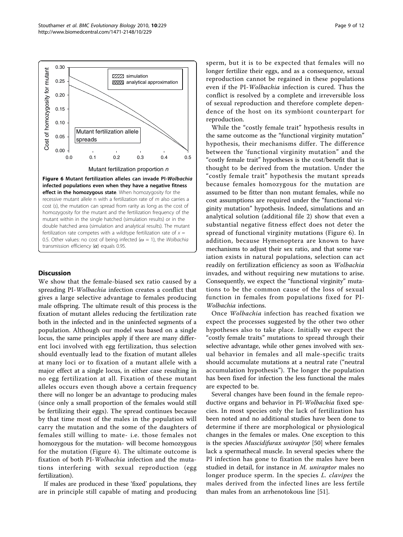<span id="page-8-0"></span>

## **Discussion**

We show that the female-biased sex ratio caused by a spreading PI-Wolbachia infection creates a conflict that gives a large selective advantage to females producing male offspring. The ultimate result of this process is the fixation of mutant alleles reducing the fertilization rate both in the infected and in the uninfected segments of a population. Although our model was based on a single locus, the same principles apply if there are many different loci involved with egg fertilization, thus selection should eventually lead to the fixation of mutant alleles at many loci or to fixation of a mutant allele with a major effect at a single locus, in either case resulting in no egg fertilization at all. Fixation of these mutant alleles occurs even though above a certain frequency there will no longer be an advantage to producing males (since only a small proportion of the females would still be fertilizing their eggs). The spread continues because by that time most of the males in the population will carry the mutation and the some of the daughters of females still willing to mate- i.e. those females not homozygous for the mutation- will become homozygous for the mutation (Figure [4\)](#page-6-0). The ultimate outcome is fixation of both PI-Wolbachia infection and the mutations interfering with sexual reproduction (egg fertilization).

If males are produced in these 'fixed' populations, they are in principle still capable of mating and producing sperm, but it is to be expected that females will no longer fertilize their eggs, and as a consequence, sexual reproduction cannot be regained in these populations even if the PI-Wolbachia infection is cured. Thus the conflict is resolved by a complete and irreversible loss of sexual reproduction and therefore complete dependence of the host on its symbiont counterpart for reproduction.

While the "costly female trait" hypothesis results in the same outcome as the "functional virginity mutation" hypothesis, their mechanisms differ. The difference between the 'functional virginity mutation" and the "costly female trait" hypotheses is the cost/benefit that is thought to be derived from the mutation. Under the "costly female trait" hypothesis the mutant spreads because females homozygous for the mutation are assumed to be fitter than non mutant females, while no cost assumptions are required under the "functional virginity mutation" hypothesis. Indeed, simulations and an analytical solution (additional file [2](#page-9-0)) show that even a substantial negative fitness effect does not deter the spread of functional virginity mutations (Figure 6). In addition, because Hymenoptera are known to have mechanisms to adjust their sex ratio, and that some variation exists in natural populations, selection can act readily on fertilization efficiency as soon as Wolbachia invades, and without requiring new mutations to arise. Consequently, we expect the "functional virginity" mutations to be the common cause of the loss of sexual function in females from populations fixed for PI-Wolbachia infections.

Once Wolbachia infection has reached fixation we expect the processes suggested by the other two other hypotheses also to take place. Initially we expect the "costly female traits" mutations to spread through their selective advantage, while other genes involved with sexual behavior in females and all male-specific traits should accumulate mutations at a neutral rate ("neutral accumulation hypothesis"). The longer the population has been fixed for infection the less functional the males are expected to be.

Several changes have been found in the female reproductive organs and behavior in PI-Wolbachia fixed species. In most species only the lack of fertilization has been noted and no additional studies have been done to determine if there are morphological or physiological changes in the females or males. One exception to this is the species Muscidifurax uniraptor [\[50](#page-11-0)] where females lack a spermathecal muscle. In several species where the PI infection has gone to fixation the males have been studied in detail, for instance in M. uniraptor males no longer produce sperm. In the species L. clavipes the males derived from the infected lines are less fertile than males from an arrhenotokous line [\[51\]](#page-11-0).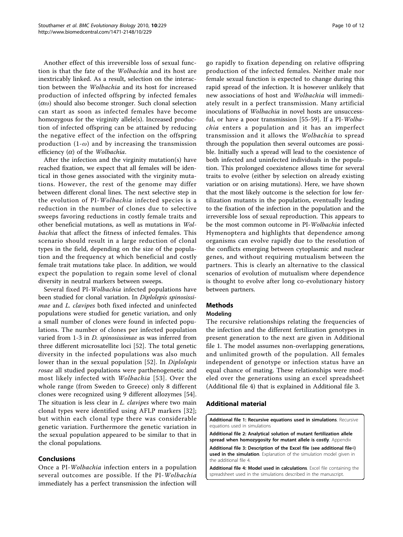<span id="page-9-0"></span>Another effect of this irreversible loss of sexual function is that the fate of the Wolbachia and its host are inextricably linked. As a result, selection on the interaction between the Wolbachia and its host for increased production of infected offspring by infected females  $(\alpha \omega)$  should also become stronger. Such clonal selection can start as soon as infected females have become homozygous for the virginity allele(s). Increased production of infected offspring can be attained by reducing the negative effect of the infection on the offspring production  $(1-\omega)$  and by increasing the transmission efficiency  $(\alpha)$  of the Wolbachia.

After the infection and the virginity mutation(s) have reached fixation, we expect that all females will be identical in those genes associated with the virginity mutations. However, the rest of the genome may differ between different clonal lines. The next selective step in the evolution of PI-Wolbachia infected species is a reduction in the number of clones due to selective sweeps favoring reductions in costly female traits and other beneficial mutations, as well as mutations in Wolbachia that affect the fitness of infected females. This scenario should result in a large reduction of clonal types in the field, depending on the size of the population and the frequency at which beneficial and costly female trait mutations take place. In addition, we would expect the population to regain some level of clonal diversity in neutral markers between sweeps.

Several fixed PI-Wolbachia infected populations have been studied for clonal variation. In Diplolepis spinosissimae and L. clavipes both fixed infected and uninfected populations were studied for genetic variation, and only a small number of clones were found in infected populations. The number of clones per infected population varied from 1-3 in D. spinosissimae as was inferred from three different microsatellite loci [[52](#page-11-0)]. The total genetic diversity in the infected populations was also much lower than in the sexual population [[52\]](#page-11-0). In Diplolepis rosae all studied populations were parthenogenetic and most likely infected with Wolbachia [[53\]](#page-11-0). Over the whole range (from Sweden to Greece) only 8 different clones were recognized using 9 different allozymes [\[54](#page-11-0)]. The situation is less clear in *L. clavipes* where two main clonal types were identified using AFLP markers [[32\]](#page-10-0); but within each clonal type there was considerable genetic variation. Furthermore the genetic variation in the sexual population appeared to be similar to that in the clonal populations.

## Conclusions

Once a PI-Wolbachia infection enters in a population several outcomes are possible. If the PI-Wolbachia immediately has a perfect transmission the infection will

go rapidly to fixation depending on relative offspring production of the infected females. Neither male nor female sexual function is expected to change during this rapid spread of the infection. It is however unlikely that new associations of host and Wolbachia will immediately result in a perfect transmission. Many artificial inoculations of Wolbachia in novel hosts are unsuccessful, or have a poor transmission [[55-59](#page-11-0)]. If a PI-Wolbachia enters a population and it has an imperfect transmission and it allows the Wolbachia to spread through the population then several outcomes are possible. Initially such a spread will lead to the coexistence of both infected and uninfected individuals in the population. This prolonged coexistence allows time for several traits to evolve (either by selection on already existing variation or on arising mutations). Here, we have shown that the most likely outcome is the selection for low fertilization mutants in the population, eventually leading to the fixation of the infection in the population and the irreversible loss of sexual reproduction. This appears to be the most common outcome in PI-Wolbachia infected Hymenoptera and highlights that dependence among organisms can evolve rapidly due to the resolution of the conflicts emerging between cytoplasmic and nuclear genes, and without requiring mutualism between the partners. This is clearly an alternative to the classical scenarios of evolution of mutualism where dependence is thought to evolve after long co-evolutionary history between partners.

## Methods

## Modeling

The recursive relationships relating the frequencies of the infection and the different fertilization genotypes in present generation to the next are given in Additional file 1. The model assumes non-overlapping generations, and unlimited growth of the population. All females independent of genotype or infection status have an equal chance of mating. These relationships were modeled over the generations using an excel spreadsheet (Additional file 4) that is explained in Additional file 3.

## Additional material

[Additional file 1: R](http://www.biomedcentral.com/content/supplementary/1471-2148-10-229-S1.DOC)ecursive equations used in simulations. Recursive equations used in simulations

[Additional file 2: A](http://www.biomedcentral.com/content/supplementary/1471-2148-10-229-S2.DOC)nalytical solution of mutant fertilization allele spread when homozygosity for mutant allele is costly. Appendix [Additional file 3: D](http://www.biomedcentral.com/content/supplementary/1471-2148-10-229-S3.DOC)escription of the Excel file (see additional file4) used in the simulation. Explanation of the simulation model given in the additional file 4.

[Additional file 4: M](http://www.biomedcentral.com/content/supplementary/1471-2148-10-229-S4.XLS)odel used in calculations. Excel file containing the spreadsheet used in the simulations described in the manuscript.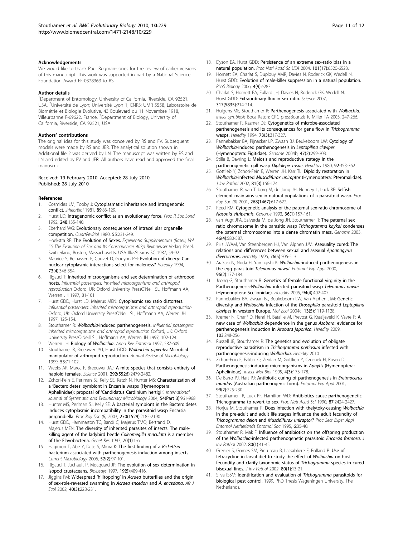#### <span id="page-10-0"></span>Acknowledgements

We would like to thank Paul Rugman-Jones for the review of earlier versions of this manuscript. This work was supported in part by a National Science Foundation Award EF-0328363 to RS.

#### Author details

<sup>1</sup>Department of Entomology, University of California, Riverside, CA 92521, USA. <sup>2</sup>Université de Lyon; Université Lyon 1; CNRS; UMR 5558, Laboratoire de Biométrie et Biologie Evolutive, 43 Boulevard du 11 Novembre 1918, Villeurbanne F-69622, France. <sup>3</sup>Department of Biology, University of California, Riverside, CA 92521, USA.

#### Authors' contributions

The original idea for this study was conceived by RS and FV. Subsequent models were made by RS and JER. The analytical solution shown in Additional file [2](#page-9-0) was derived by LN. The manuscript was written by RS and LN and edited by FV and JER. All authors have read and approved the final manuscript.

#### Received: 19 February 2010 Accepted: 28 July 2010 Published: 28 July 2010

#### References

- 1. Cosmides LM, Tooby J: Cytoplasmatic inheritance and intragenomic conflict. JtheorBiol 1981, 89:83-129.
- 2. Hurst LD: Intragenomic conflict as an evolutionary force. Proc R Soc Lond 1992, 248:135-140.
- 3. Eberhard WG: Evolutionary consequences of intracellular organelle competition. QuartRevBiol 1980, 55:231-249.
- 4. Hoekstra RF: The Evolution of Sexes. Experientia Supplementum (Basel), Vol 55 The Evolution of Sex and Its Consequences 403p Birkhaeuser Verlag: Basel, Switzerland; Boston, Massachusetts, USA IllusStearns SC 1987, 59-92.
- 5. Maurice S, Belhassen E, Couvet D, Gouyon PH: [Evolution of dioecy: Can](http://www.ncbi.nlm.nih.gov/pubmed/7989215?dopt=Abstract) [nuclear-cytoplasmic interactions select for maleness?](http://www.ncbi.nlm.nih.gov/pubmed/7989215?dopt=Abstract) Heredity 1994, 73(4):346-354.
- Rigaud T: Inherited microorganisms and sex determination of arthropod hosts. Influential passengers: inherited microorganisms and arthropod reproduction Oxford, UK: Oxford University PressO'Neill SL, Hoffmann AA, Werren JH 1997, 81-101.
- 7. Hurst GDD, Hurst LD, Majerus MEN: Cytoplasmic sex ratio distorters. Influential passengers: inherited microorganisms and arthropod reproduction Oxford, UK: Oxford University PressO'Neill SL, Hoffmann AA, Werren JH 1997, 125-154.
- 8. Stouthamer R: Wolbachia-induced parthenogenesis. Influential passengers: Inherited microorganisms and arthropod reproduction Oxford, UK: Oxford University PressO'Neill SL, Hoffmann AA, Werren JH 1997, 102-124.
- Werren JH: Biology of [Wolbachia](http://www.ncbi.nlm.nih.gov/pubmed/15012323?dopt=Abstract). Annu Rev Entomol 1997, 587-609.
- 10. Stouthamer R, Breeuwer JAJ, Hurst GDD: [Wolbachia pipientis](http://www.ncbi.nlm.nih.gov/pubmed/10547686?dopt=Abstract): Microbial [manipulator of arthropod reproduction.](http://www.ncbi.nlm.nih.gov/pubmed/10547686?dopt=Abstract) Annual Review of Microbiology 1999, 53:71-102.
- 11. Weeks AR, Marec F, Breeuwer JAJ: [A mite species that consists entirety of](http://www.ncbi.nlm.nih.gov/pubmed/11431565?dopt=Abstract) [haploid females.](http://www.ncbi.nlm.nih.gov/pubmed/11431565?dopt=Abstract) Science 2001, 292(5526):2479-2482.
- 12. Zchori-Fein E, Perlman SJ, Kelly SE, Katzir N, Hunter MS: [Characterization of](http://www.ncbi.nlm.nih.gov/pubmed/15143050?dopt=Abstract) a 'Bacteroidetes' [symbiont in Encarsia wasps \(Hymenoptera:](http://www.ncbi.nlm.nih.gov/pubmed/15143050?dopt=Abstract) Aphelinidae): proposal of '[Candidatus Cardinium hertigii](http://www.ncbi.nlm.nih.gov/pubmed/15143050?dopt=Abstract)'. International Journal of Systematic and Evolutionary Microbiology 2004, 54(Part 3):961-968.
- 13. Hunter MS, Perlman SJ, Kelly SE: A bacterial symbiont in the Bacteroidetes induces cytoplasmic incompatibility in the parasitoid wasp Encarsia pergandiella. Proc Roy Soc (B) 2003, 270(1529):2185-2190.
- 14. Hurst GDD, Hammarton TC, Bandi C, Majerus TMO, Bertrand D, Majerus MEN: The diversity of inherited parasites of insects: The malekilling agent of the ladybird beetle Coleomegilla maculata is a member of the Flavobacteria. Genet Res 1997, 70(1):1-6.
- 15. Hagimori T, Abe Y, Date S, Miura K: [The first finding of a](http://www.ncbi.nlm.nih.gov/pubmed/16450063?dopt=Abstract) Rickettsia [bacterium associated with parthenogenesis induction among insects.](http://www.ncbi.nlm.nih.gov/pubmed/16450063?dopt=Abstract) Current Microbiology 2006, 52(2):97-101.
- 16. Rigaud T, Juchault P, Mocquard JP: The evolution of sex determination in isopod crustaceans. Bioessays 1997, 19(5):409-416.
- 17. Jiggins FM: Widespread 'hilltopping' in Acraea butterflies and the origin of sex-role-reversed swarming in Acraea encedon and A. encedana. Afr J Ecol 2002, 40(3):228-231.
- 18. Dyson EA, Hurst GDD: Persistence of an extreme sex-ratio bias in a natural population. Proc Natl Acad Sc USA 2004, 101(17):6520-6523.
- 19. Hornett EA, Charlat S, Duplouy AMR, Davies N, Roderick GK, Wedell N, Hurst GDD: [Evolution of male-killer suppression in a natural population.](http://www.ncbi.nlm.nih.gov/pubmed/16933972?dopt=Abstract) PLoS Biology 2006, 4(9):e283.
- 20. Charlat S, Hornett EA, Fullard JH, Davies N, Roderick GK, Wedell N, Hurst GDD: [Extraordinary flux in sex ratio.](http://www.ncbi.nlm.nih.gov/pubmed/17626876?dopt=Abstract) Science 2007, 317(5835):214-214.
- 21. Huigens ME, Stouthamer R: Parthenogenesis associated with Wolbachia. Insect symbiosis Boca Raton: CRC pressBourtzis K, Miller TA 2003, 247-266.
- 22. Stouthamer R, Kazmer DJ: Cytogenetics of microbe-associated parthenogenesis and its consequences for gene flow in Trichogramma wasps. Heredity 1994, 73(3):317-327.
- 23. Pannebakker BA, Pijnacker LP, Zwaan BJ, Beukeboom LW: Cytology of Wolbachia-induced parthenogenesis in Leptopilina clavipes (Hymenoptera: Figitidae). Genome 2004b, 47(2):299-303.
- 24. Stille B, Davring L: Meiosis and reproductive stategy in the parthenogenetic gall wasp Diplolepis rosae. Heriditas 1980, 92:353-362.
- 25. Gottlieb Y, Zchori-Fein E, Werren JH, Karr TL: Diploidy restoration in Wolbachia-infected Muscidifurax uniraptor (Hymenoptera: Pteromalidae). J Inv Pathol 2002, 81(3):166-174.
- 26. Stouthamer R, van Tilborg M, de Jong JH, Nunney L, Luck RF: Selfish element maintains sex in natural populations of a parasitoid wasp. Proc Roy Soc (B) 2001, 268(1467):617-622.
- 27. Reed KM: [Cytogenetic analysis of the paternal sex-ratio chromosome of](http://www.ncbi.nlm.nih.gov/pubmed/7681418?dopt=Abstract) [Nasonia vitripennis](http://www.ncbi.nlm.nih.gov/pubmed/7681418?dopt=Abstract). Genome 1993, 36(1):157-161.
- 28. van Vugt JFA, Salverda M, de Jong JH, Stouthamer R: [The paternal sex](http://www.ncbi.nlm.nih.gov/pubmed/12897866?dopt=Abstract) [ratio chromosome in the parasitic wasp](http://www.ncbi.nlm.nih.gov/pubmed/12897866?dopt=Abstract) Trichogramma kaykai condenses [the paternal chromosomes into a dense chromatin mass.](http://www.ncbi.nlm.nih.gov/pubmed/12897866?dopt=Abstract) Genome 2003, 46(4):580-587.
- 29. Pijls JWAM, Van Steenbergen HJ, Van Alphen JJM: Asexuality cured: The relations and differences between sexual and asexual Apoanagyrus diversicornis. Heredity 1996, 76(5):506-513.
- 30. Arakaki N, Noda H, Yamagishi K: Wolbachia-induced parthenogenesis in the egg parasitoid Telenomus nawai. Entomol Exp Appl 2000, 96(2):177-184.
- 31. Jeong G, Stouthamer R: [Genetics of female functional virginity in the](http://www.ncbi.nlm.nih.gov/pubmed/15523503?dopt=Abstract) Parthenogenesis-Wolbachia [infected parasitoid wasp](http://www.ncbi.nlm.nih.gov/pubmed/15523503?dopt=Abstract) Telenomus nawai [\(Hymenoptera: Scelionidae\).](http://www.ncbi.nlm.nih.gov/pubmed/15523503?dopt=Abstract) Heredity 2005, 94(4):402-407.
- 32. Pannebakker BA, Zwaan BJ, Beukeboom LW, Van Alphen JJM: Genetic diversity and Wolbachia infection of the Drosophila parasitoid Leptopilina clavipes in western Europe. Mol Ecol 2004c, 13(5):1119-1128.
- 33. Kremer N, Charif D, Henri H, Bataille M, Prevost G, Kraaijeveld K, Vavre F: [A](http://www.ncbi.nlm.nih.gov/pubmed/19513092?dopt=Abstract) new case of Wolbachia [dependence in the genus](http://www.ncbi.nlm.nih.gov/pubmed/19513092?dopt=Abstract) Asobara: evidence for [parthenogenesis induction in](http://www.ncbi.nlm.nih.gov/pubmed/19513092?dopt=Abstract) Asobara japonica. Heredity 2009, 103:248-256.
- 34. Russell JE, Stouthamer R: [The genetics and evolution of obligate](http://www.ncbi.nlm.nih.gov/pubmed/20442735?dopt=Abstract) [reproductive parasitism in](http://www.ncbi.nlm.nih.gov/pubmed/20442735?dopt=Abstract) Trichogramma pretiosum infected with [parthenogenesis-inducing](http://www.ncbi.nlm.nih.gov/pubmed/20442735?dopt=Abstract) Wolbachia. Heredity 2010.
- 35. Zchori-Fein E, Faktor O, Zeidan M, Gottlieb Y, Czosnek H, Rosen D: [Parthenogenesis-inducing microorganisms in](http://www.ncbi.nlm.nih.gov/pubmed/8589844?dopt=Abstract) Aphytis (Hymenoptera: [Aphelinidae\).](http://www.ncbi.nlm.nih.gov/pubmed/8589844?dopt=Abstract) Insect Mol Biol 1995, 4(3):173-178.
- De Barro PJ, Hart PJ: Antibiotic curing of parthenogenesis in Eretmocerus mundus (Australian parthenogenic form). Entomol Exp Appl 2001, 99(2):225-230.
- 37. Stouthamer R, Luck RF, Hamilton WD: Antibiotics cause parthenogenetic Trichogramma to revert to sex. Proc Natl Acad Sci 1990, 87:2424-2427.
- Horjus M, Stouthamer R: Does infection with thelytoky-causing Wolbachia in the pre-adult and adult life stages influence the adult fecundity of Trichogramma deion and Muscidifurax uniraptor? Proc Sect Exper Appl Entomol Netherlands Entomol Soc 1995, 6:35-40.
- 39. Stouthamer R, Mak F: Influence of antibiotics on the offspring production of the Wolbachia-infected parthenogenetic parasitoid Encarsia formosa. J Inv Pathol 2002, 80(1):41-45.
- 40. Grenier S, Gomes SM, Pintureau B, Lassabliere F, Bolland P: Use of tetracycline in larval diet to study the effect of Wolbachia on host fecundity and clarify taxonomic status of Trichogramma species in cured bisexual lines. J Inv Pathol 2002, 80(1):13-21.
- 41. Silva ISSM: Identification and evaluation of Trichogramma parasitoids for biological pest control. 1999, PhD Thesis Wageningen University, The Netherlands.